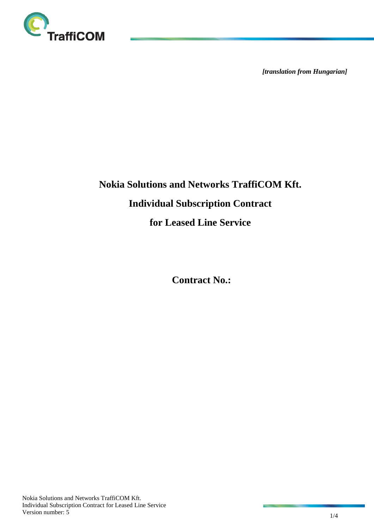

*[translation from Hungarian]*

# **Nokia Solutions and Networks TraffiCOM Kft. Individual Subscription Contract for Leased Line Service**

**Contract No.:**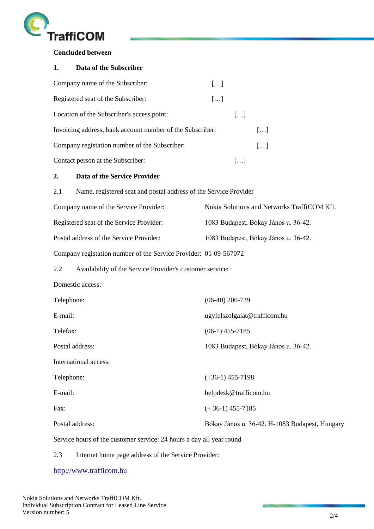

**Concluded between** 

#### **1. Data of the Subscriber**

| Company name of the Subscriber:                           | $\left[\ldots\right]$   |                       |                       |
|-----------------------------------------------------------|-------------------------|-----------------------|-----------------------|
| Registered seat of the Subscriber:                        | $\left  \ldots \right $ |                       |                       |
| Location of the Subscriber's access point:                |                         | $\left[\ldots\right]$ |                       |
| Invoicing address, bank account number of the Subscriber: |                         |                       | $\left[\ldots\right]$ |
| Company registation number of the Subscriber:             |                         |                       | $\left[\ldots\right]$ |
| Contact person at the Subscriber:                         |                         |                       |                       |

## **2. Data of the Service Provider**

| 2.1 | Name, registered seat and postal address of the Service Provider |                                             |  |  |
|-----|------------------------------------------------------------------|---------------------------------------------|--|--|
|     | Company name of the Service Provider:                            | Nokia Solutions and Networks TraffiCOM Kft. |  |  |
|     | Registered seat of the Service Provider:                         | 1083 Budapest, Bókay János u. 36-42.        |  |  |
|     | Postal address of the Service Provider:                          | 1083 Budapest, Bókay János u. 36-42.        |  |  |
|     | Company registation number of the Service Provider: 01-09-567072 |                                             |  |  |

2.2 Availability of the Service Provider's customer service:

Domestic access:

| Telephone:            | $(06-40)$ 200-739                              |
|-----------------------|------------------------------------------------|
| E-mail:               | ugyfelszolgalat@trafficom.hu                   |
| Telefax:              | $(06-1)$ 455-7185                              |
| Postal address:       | 1083 Budapest, Bókay János u. 36-42.           |
| International access: |                                                |
| Telephone:            | $(+36-1)$ 455-7198                             |
| E-mail:               | helpdesk@trafficom.hu                          |
| Fax:                  | $(+36-1)$ 455-7185                             |
| Postal address:       | Bókay János u. 36-42. H-1083 Budapest, Hungary |
|                       |                                                |

Service hours of the customer service: 24 hours a day all year round

2.3 Internet home page address of the Service Provider:

[http://www.trafficom.hu](http://www.trafficom.hu/)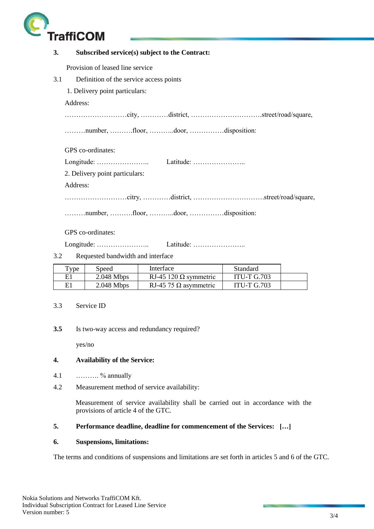

| 3.  | Subscribed service(s) subject to the Contract: |
|-----|------------------------------------------------|
|     | Provision of leased line service               |
| 3.1 | Definition of the service access points        |
|     | 1. Delivery point particulars:                 |
|     | Address:                                       |
|     |                                                |
|     | number, floor, door, disposition:              |
|     | GPS co-ordinates:                              |
|     |                                                |
|     | 2. Delivery point particulars:                 |
|     | Address:                                       |
|     |                                                |
|     | number, floor, door, disposition:              |
|     | GPS co-ordinates:                              |
|     |                                                |
| 3.2 | Requested bandwidth and interface              |

| Type | Speed        | Interface                    | Standard           |  |
|------|--------------|------------------------------|--------------------|--|
| E1   | $2.048$ Mbps | RJ-45 120 $\Omega$ symmetric | <b>ITU-T G.703</b> |  |
| E1   | $2.048$ Mbps | RJ-45 75 $\Omega$ asymmetric | <b>ITU-T G.703</b> |  |

- 3.3 Service ID
- **3.5** Is two-way access and redundancy required?

yes/no

#### **4. Availability of the Service:**

- 4.1 ………. % annually
- 4.2 Measurement method of service availability:

Measurement of service availability shall be carried out in accordance with the provisions of article 4 of the GTC.

## **5. Performance deadline, deadline for commencement of the Services: […]**

#### **6. Suspensions, limitations:**

The terms and conditions of suspensions and limitations are set forth in articles 5 and 6 of the GTC.